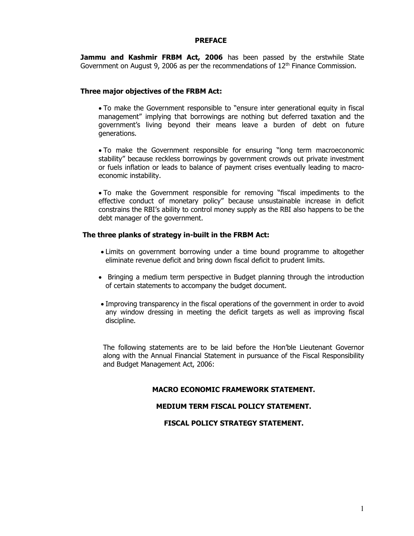#### PREFACE

Jammu and Kashmir FRBM Act, 2006 has been passed by the erstwhile State Government on August 9, 2006 as per the recommendations of  $12<sup>th</sup>$  Finance Commission.

#### Three major objectives of the FRBM Act:

- To make the Government responsible to "ensure inter generational equity in fiscal management" implying that borrowings are nothing but deferred taxation and the government's living beyond their means leave a burden of debt on future generations.
- To make the Government responsible for ensuring "long term macroeconomic stability" because reckless borrowings by government crowds out private investment or fuels inflation or leads to balance of payment crises eventually leading to macroeconomic instability.
- To make the Government responsible for removing "fiscal impediments to the effective conduct of monetary policy" because unsustainable increase in deficit constrains the RBI's ability to control money supply as the RBI also happens to be the debt manager of the government.

### The three planks of strategy in-built in the FRBM Act:

- Limits on government borrowing under a time bound programme to altogether eliminate revenue deficit and bring down fiscal deficit to prudent limits.
- Bringing a medium term perspective in Budget planning through the introduction of certain statements to accompany the budget document.
- Improving transparency in the fiscal operations of the government in order to avoid any window dressing in meeting the deficit targets as well as improving fiscal discipline.

The following statements are to be laid before the Hon'ble Lieutenant Governor along with the Annual Financial Statement in pursuance of the Fiscal Responsibility and Budget Management Act, 2006:

### MACRO ECONOMIC FRAMEWORK STATEMENT.

#### MEDIUM TERM FISCAL POLICY STATEMENT.

FISCAL POLICY STRATEGY STATEMENT.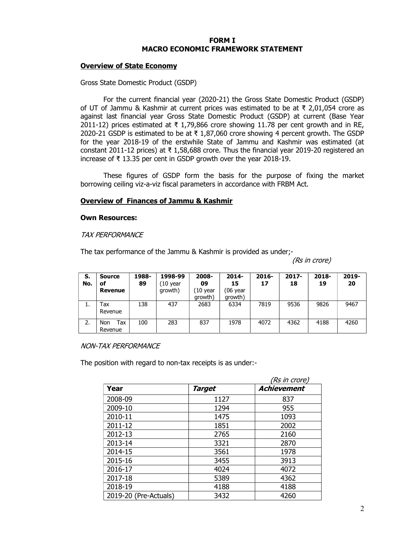#### FORM I MACRO ECONOMIC FRAMEWORK STATEMENT

#### Overview of State Economy

Gross State Domestic Product (GSDP)

 For the current financial year (2020-21) the Gross State Domestic Product (GSDP) of UT of Jammu & Kashmir at current prices was estimated to be at ₹ 2,01,054 crore as against last financial year Gross State Domestic Product (GSDP) at current (Base Year 2011-12) prices estimated at ₹ 1,79,866 crore showing 11.78 per cent growth and in RE, 2020-21 GSDP is estimated to be at ₹ 1,87,060 crore showing 4 percent growth. The GSDP for the year 2018-19 of the erstwhile State of Jammu and Kashmir was estimated (at constant 2011-12 prices) at  $\bar{\tau}$  1,58,688 crore. Thus the financial year 2019-20 registered an increase of ₹ 13.35 per cent in GSDP growth over the year 2018-19.

These figures of GSDP form the basis for the purpose of fixing the market borrowing ceiling viz-a-viz fiscal parameters in accordance with FRBM Act.

#### Overview of Finances of Jammu & Kashmir

#### Own Resources:

#### TAX PERFORMANCE

The tax performance of the Jammu & Kashmir is provided as under;-

(Rs in crore)

| S.<br>No. | Source<br>оf<br>Revenue | 1988-<br>89 | 1998-99<br>(10 year<br>growth) | 2008-<br>09<br>10 year<br>growth) | $2014 -$<br>15<br>(06 year<br>growth) | $2016 -$<br>17 | $2017 -$<br>18 | 2018-<br>19 | 2019-<br>20 |
|-----------|-------------------------|-------------|--------------------------------|-----------------------------------|---------------------------------------|----------------|----------------|-------------|-------------|
| ı.        | Гах<br>Revenue          | 138         | 437                            | 2683                              | 6334                                  | 7819           | 9536           | 9826        | 9467        |
| 2.        | Tax<br>Non<br>Revenue   | 100         | 283                            | 837                               | 1978                                  | 4072           | 4362           | 4188        | 4260        |

#### NON-TAX PERFORMANCE

The position with regard to non-tax receipts is as under:-

|                       |               | (Rs in crore) |
|-----------------------|---------------|---------------|
| Year                  | <b>Target</b> | Achievement   |
| 2008-09               | 1127          | 837           |
| 2009-10               | 1294          | 955           |
| 2010-11               | 1475          | 1093          |
| 2011-12               | 1851          | 2002          |
| 2012-13               | 2765          | 2160          |
| 2013-14               | 3321          | 2870          |
| 2014-15               | 3561          | 1978          |
| 2015-16               | 3455          | 3913          |
| 2016-17               | 4024          | 4072          |
| 2017-18               | 5389          | 4362          |
| 2018-19               | 4188          | 4188          |
| 2019-20 (Pre-Actuals) | 3432          | 4260          |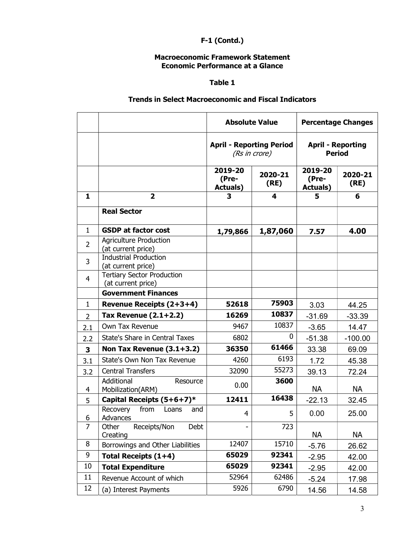# F-1 (Contd.)

## Macroeconomic Framework Statement Economic Performance at a Glance

## Table 1

## Trends in Select Macroeconomic and Fiscal Indicators

|                |                                                         | <b>Absolute Value</b>                |                 |                                           | <b>Percentage Changes</b> |  |
|----------------|---------------------------------------------------------|--------------------------------------|-----------------|-------------------------------------------|---------------------------|--|
|                |                                                         | <b>April - Reporting Period</b>      | (Rs in crore)   | <b>April - Reporting</b><br><b>Period</b> |                           |  |
|                |                                                         | 2019-20<br>(Pre-<br><b>Actuals</b> ) | 2020-21<br>(RE) | 2019-20<br>(Pre-<br><b>Actuals</b> )      | 2020-21<br>(RE)           |  |
| 1              | $\overline{2}$                                          | 3                                    | 4               | 5                                         | 6                         |  |
|                | <b>Real Sector</b>                                      |                                      |                 |                                           |                           |  |
| $\mathbf{1}$   | <b>GSDP at factor cost</b>                              | 1,79,866                             | 1,87,060        | 7.57                                      | 4.00                      |  |
| $\overline{2}$ | <b>Agriculture Production</b><br>(at current price)     |                                      |                 |                                           |                           |  |
| 3              | <b>Industrial Production</b><br>(at current price)      |                                      |                 |                                           |                           |  |
| $\overline{4}$ | <b>Tertiary Sector Production</b><br>(at current price) |                                      |                 |                                           |                           |  |
|                | <b>Government Finances</b>                              |                                      |                 |                                           |                           |  |
| 1              | Revenue Receipts (2+3+4)                                | 52618                                | 75903           | 3.03                                      | 44.25                     |  |
| $\overline{2}$ | Tax Revenue $(2.1+2.2)$                                 | 16269                                | 10837           | $-31.69$                                  | $-33.39$                  |  |
| 2.1            | Own Tax Revenue                                         | 9467                                 | 10837           | $-3.65$                                   | 14.47                     |  |
| 2.2            | State's Share in Central Taxes                          | 6802                                 | 0               | $-51.38$                                  | $-100.00$                 |  |
| $\mathbf{3}$   | Non Tax Revenue (3.1+3.2)                               | 36350                                | 61466           | 33.38                                     | 69.09                     |  |
| 3.1            | State's Own Non Tax Revenue                             | 4260                                 | 6193            | 1.72                                      | 45.38                     |  |
| 3.2            | <b>Central Transfers</b>                                | 32090                                | 55273           | 39.13                                     | 72.24                     |  |
| 4              | Additional<br>Resource<br>Mobilization(ARM)             | 0.00                                 | 3600            | <b>NA</b>                                 | <b>NA</b>                 |  |
| 5              | Capital Receipts $(5+6+7)^*$                            | 12411                                | 16438           | $-22.13$                                  | 32.45                     |  |
| b              | from<br>Recovery<br>Loans<br>and<br>Advances            | 4                                    | 5               | 0.00                                      | 25.00                     |  |
| $\overline{7}$ | Other<br>Receipts/Non<br>Debt<br>Creating               |                                      | 723             | <b>NA</b>                                 | <b>NA</b>                 |  |
| 8              | Borrowings and Other Liabilities                        | 12407                                | 15710           | $-5.76$                                   | 26.62                     |  |
| 9              | Total Receipts (1+4)                                    | 65029                                | 92341           | $-2.95$                                   | 42.00                     |  |
| 10             | <b>Total Expenditure</b>                                | 65029                                | 92341           | $-2.95$                                   | 42.00                     |  |
| 11             | Revenue Account of which                                | 52964                                | 62486           | $-5.24$                                   | 17.98                     |  |
| 12             | (a) Interest Payments                                   | 5926                                 | 6790            | 14.56                                     | 14.58                     |  |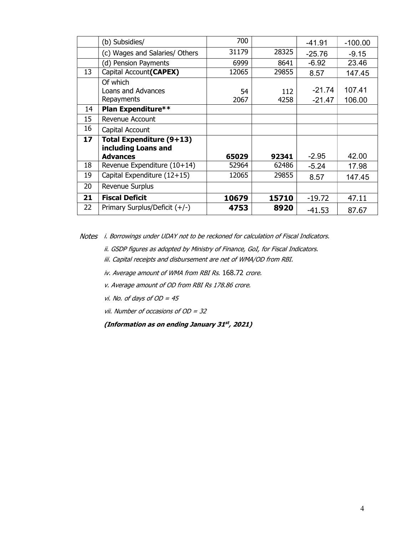|    | (b) Subsidies/                                                     | 700        |             | $-41.91$             | $-100.00$        |
|----|--------------------------------------------------------------------|------------|-------------|----------------------|------------------|
|    | (c) Wages and Salaries/ Others                                     | 31179      | 28325       | $-25.76$             | $-9.15$          |
|    | (d) Pension Payments                                               | 6999       | 8641        | $-6.92$              | 23.46            |
| 13 | Capital Account(CAPEX)                                             | 12065      | 29855       | 8.57                 | 147.45           |
|    | Of which<br>Loans and Advances<br>Repayments                       | 54<br>2067 | 112<br>4258 | $-21.74$<br>$-21.47$ | 107.41<br>106.00 |
| 14 | Plan Expenditure**                                                 |            |             |                      |                  |
| 15 | Revenue Account                                                    |            |             |                      |                  |
| 16 | Capital Account                                                    |            |             |                      |                  |
| 17 | Total Expenditure (9+13)<br>including Loans and<br><b>Advances</b> | 65029      | 92341       | $-2.95$              | 42.00            |
| 18 | Revenue Expenditure (10+14)                                        | 52964      | 62486       | $-5.24$              | 17.98            |
| 19 | Capital Expenditure (12+15)                                        | 12065      | 29855       | 8.57                 | 147.45           |
| 20 | Revenue Surplus                                                    |            |             |                      |                  |
| 21 | <b>Fiscal Deficit</b>                                              | 10679      | 15710       | $-19.72$             | 47.11            |
| 22 | Primary Surplus/Deficit $(+/-)$                                    | 4753       | 8920        | $-41.53$             | 87.67            |

Notes i. Borrowings under UDAY not to be reckoned for calculation of Fiscal Indicators.

- ii. GSDP figures as adopted by Ministry of Finance, GoI, for Fiscal Indicators.
- iii. Capital receipts and disbursement are net of WMA/OD from RBI.
- iv. Average amount of WMA from RBI Rs. 168.72 crore.
- v. Average amount of OD from RBI Rs 178.86 crore.
- vi. No. of days of  $OD = 45$
- vii. Number of occasions of  $OD = 32$

(Information as on ending January 31st, 2021)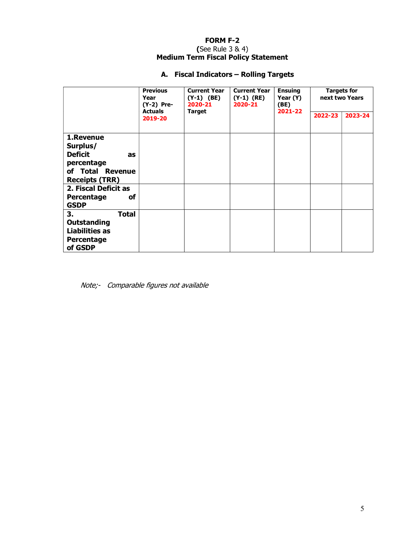### FORM F-2 (See Rule 3 & 4) Medium Term Fiscal Policy Statement

# A. Fiscal Indicators – Rolling Targets

|                                                                                                                                                                            | <b>Previous</b><br>Year<br>$(Y-2)$ Pre- | <b>Current Year</b><br>$(Y-1)$ (BE)<br>2020-21 | <b>Current Year</b><br>$(Y-1)$ (RE)<br>2020-21 | <b>Ensuing</b><br>Year (Y)<br>(BE)<br>2021-22 | <b>Targets for</b><br>next two Years |         |  |
|----------------------------------------------------------------------------------------------------------------------------------------------------------------------------|-----------------------------------------|------------------------------------------------|------------------------------------------------|-----------------------------------------------|--------------------------------------|---------|--|
|                                                                                                                                                                            | <b>Actuals</b><br>2019-20               | <b>Target</b>                                  |                                                |                                               | 2022-23                              | 2023-24 |  |
| 1.Revenue<br>Surplus/<br><b>Deficit</b><br>as<br>percentage<br>of Total Revenue<br><b>Receipts (TRR)</b><br>2. Fiscal Deficit as<br>οf<br><b>Percentage</b><br><b>GSDP</b> |                                         |                                                |                                                |                                               |                                      |         |  |
| 3.<br><b>Total</b><br><b>Outstanding</b><br><b>Liabilities as</b><br>Percentage<br>of GSDP                                                                                 |                                         |                                                |                                                |                                               |                                      |         |  |

Note;- Comparable figures not available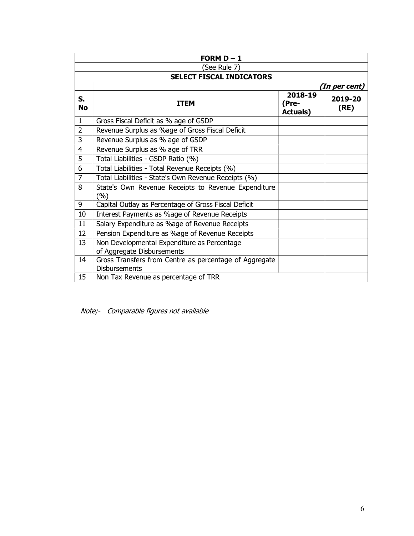|                 | FORM $D - 1$                                                                   |                                      |                 |  |  |  |  |  |  |
|-----------------|--------------------------------------------------------------------------------|--------------------------------------|-----------------|--|--|--|--|--|--|
|                 | (See Rule 7)                                                                   |                                      |                 |  |  |  |  |  |  |
|                 | <b>SELECT FISCAL INDICATORS</b>                                                |                                      |                 |  |  |  |  |  |  |
|                 |                                                                                |                                      | (In per cent)   |  |  |  |  |  |  |
| S.<br><b>No</b> | ITEM                                                                           | 2018-19<br>(Pre-<br><b>Actuals</b> ) | 2019-20<br>(RE) |  |  |  |  |  |  |
| $\mathbf{1}$    | Gross Fiscal Deficit as % age of GSDP                                          |                                      |                 |  |  |  |  |  |  |
| $\overline{2}$  | Revenue Surplus as %age of Gross Fiscal Deficit                                |                                      |                 |  |  |  |  |  |  |
| 3               | Revenue Surplus as % age of GSDP                                               |                                      |                 |  |  |  |  |  |  |
| $\overline{4}$  | Revenue Surplus as % age of TRR                                                |                                      |                 |  |  |  |  |  |  |
| 5               | Total Liabilities - GSDP Ratio (%)                                             |                                      |                 |  |  |  |  |  |  |
| 6               | Total Liabilities - Total Revenue Receipts (%)                                 |                                      |                 |  |  |  |  |  |  |
| $\overline{7}$  | Total Liabilities - State's Own Revenue Receipts (%)                           |                                      |                 |  |  |  |  |  |  |
| 8               | State's Own Revenue Receipts to Revenue Expenditure<br>(%)                     |                                      |                 |  |  |  |  |  |  |
| 9               | Capital Outlay as Percentage of Gross Fiscal Deficit                           |                                      |                 |  |  |  |  |  |  |
| 10              | Interest Payments as %age of Revenue Receipts                                  |                                      |                 |  |  |  |  |  |  |
| 11              | Salary Expenditure as %age of Revenue Receipts                                 |                                      |                 |  |  |  |  |  |  |
| 12              | Pension Expenditure as %age of Revenue Receipts                                |                                      |                 |  |  |  |  |  |  |
| 13              | Non Developmental Expenditure as Percentage<br>of Aggregate Disbursements      |                                      |                 |  |  |  |  |  |  |
| 14              | Gross Transfers from Centre as percentage of Aggregate<br><b>Disbursements</b> |                                      |                 |  |  |  |  |  |  |
| 15              | Non Tax Revenue as percentage of TRR                                           |                                      |                 |  |  |  |  |  |  |

Note;- Comparable figures not available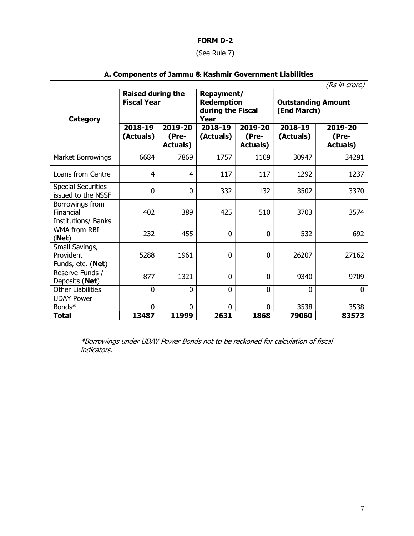### FORM D-2

(See Rule 7)

| A. Components of Jammu & Kashmir Government Liabilities |                                                |                                      |                                                              |                                      |                                          |                                     |  |  |
|---------------------------------------------------------|------------------------------------------------|--------------------------------------|--------------------------------------------------------------|--------------------------------------|------------------------------------------|-------------------------------------|--|--|
|                                                         |                                                |                                      |                                                              |                                      |                                          | (Rs in crore)                       |  |  |
| <b>Category</b>                                         | <b>Raised during the</b><br><b>Fiscal Year</b> |                                      | Repayment/<br><b>Redemption</b><br>during the Fiscal<br>Year |                                      | <b>Outstanding Amount</b><br>(End March) |                                     |  |  |
|                                                         | 2018-19<br>(Actuals)                           | 2019-20<br>(Pre-<br><b>Actuals</b> ) | 2018-19<br>(Actuals)                                         | 2019-20<br>(Pre-<br><b>Actuals</b> ) | 2018-19<br>(Actuals)                     | 2019-20<br>(Pre-<br><b>Actuals)</b> |  |  |
| Market Borrowings                                       | 6684                                           | 7869                                 | 1757                                                         | 1109                                 | 30947                                    | 34291                               |  |  |
| Loans from Centre                                       | 4                                              | 4                                    | 117                                                          | 117                                  | 1292                                     | 1237                                |  |  |
| <b>Special Securities</b><br>issued to the NSSF         | 0                                              | 0                                    | 332                                                          | 132                                  | 3502                                     | 3370                                |  |  |
| Borrowings from<br>Financial<br>Institutions/ Banks     | 402                                            | 389                                  | 425                                                          | 510                                  | 3703                                     | 3574                                |  |  |
| <b>WMA from RBI</b><br>(Net)                            | 232                                            | 455                                  | 0                                                            | $\mathbf{0}$                         | 532                                      | 692                                 |  |  |
| Small Savings,<br>Provident<br>Funds, etc. (Net)        | 5288                                           | 1961                                 | 0                                                            | $\Omega$                             | 26207                                    | 27162                               |  |  |
| Reserve Funds /<br>Deposits (Net)                       | 877                                            | 1321                                 | $\mathbf 0$                                                  | $\mathbf{0}$                         | 9340                                     | 9709                                |  |  |
| <b>Other Liabilities</b>                                | 0                                              | 0                                    | 0                                                            | $\mathbf{0}$                         | 0                                        | 0                                   |  |  |
| <b>UDAY Power</b>                                       |                                                |                                      |                                                              |                                      |                                          |                                     |  |  |
| Bonds*                                                  | 0                                              | 0                                    | 0                                                            | $\Omega$                             | 3538                                     | 3538                                |  |  |
| <b>Total</b>                                            | 13487                                          | 11999                                | 2631                                                         | 1868                                 | 79060                                    | 83573                               |  |  |

\*Borrowings under UDAY Power Bonds not to be reckoned for calculation of fiscal indicators.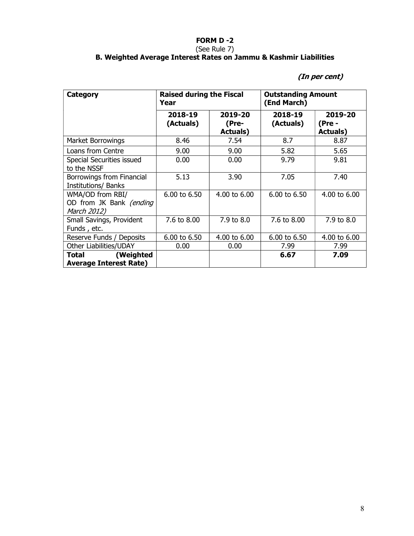### FORM D -2 (See Rule 7) B. Weighted Average Interest Rates on Jammu & Kashmir Liabilities

# (In per cent)

| Category                                                   | <b>Raised during the Fiscal</b><br>Year |                                      | <b>Outstanding Amount</b><br>(End March) |                                       |  |
|------------------------------------------------------------|-----------------------------------------|--------------------------------------|------------------------------------------|---------------------------------------|--|
|                                                            | 2018-19<br>(Actuals)                    | 2019-20<br>(Pre-<br><b>Actuals</b> ) | 2018-19<br>(Actuals)                     | 2019-20<br>(Pre -<br><b>Actuals</b> ) |  |
| Market Borrowings                                          | 8.46                                    | 7.54                                 | 8.7                                      | 8.87                                  |  |
| Loans from Centre                                          | 9.00                                    | 9.00                                 | 5.82                                     | 5.65                                  |  |
| Special Securities issued<br>to the NSSF                   | 0.00                                    | 0.00                                 | 9.79                                     | 9.81                                  |  |
| Borrowings from Financial<br><b>Institutions/ Banks</b>    | 5.13                                    | 3.90                                 | 7.05                                     | 7.40                                  |  |
| WMA/OD from RBI/<br>OD from JK Bank (ending<br>March 2012) | 6.00 to 6.50                            | $4.00 \text{ to } 6.00$              | 6.00 to 6.50                             | 4.00 to 6.00                          |  |
| Small Savings, Provident<br>Funds, etc.                    | 7.6 to 8.00                             | 7.9 to 8.0                           | 7.6 to 8.00                              | 7.9 to 8.0                            |  |
| Reserve Funds / Deposits                                   | 6.00 to 6.50                            | 4.00 to 6.00                         | 6.00 to 6.50                             | 4.00 to 6.00                          |  |
| Other Liabilities/UDAY                                     | 0.00                                    | 0.00                                 | 7.99                                     | 7.99                                  |  |
| (Weighted<br>Total<br><b>Average Interest Rate)</b>        |                                         |                                      | 6.67                                     | 7.09                                  |  |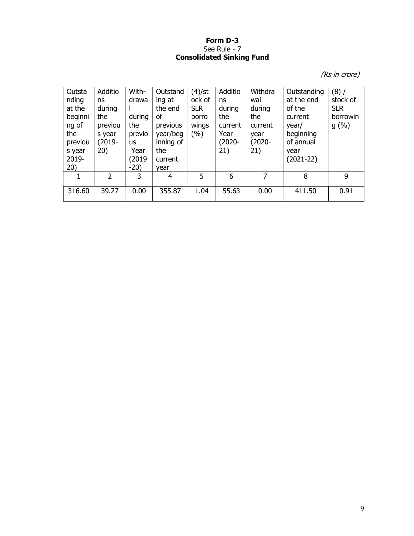### Form D-3 See Rule - 7 Consolidated Sinking Fund

(Rs in crore)

| Outsta<br>nding<br>at the<br>beginni<br>ng of<br>the<br>previou<br>s year<br>2019-<br>20) | Additio<br>ns<br>during<br>the<br>previou<br>s year<br>$(2019 -$<br>20) | With-<br>drawa<br>during<br>the<br>previo<br><b>us</b><br>Year<br>(2019<br>$-20)$ | Outstand<br>ing at<br>the end<br>οf<br>previous<br>year/beg<br>inning of<br>the<br>current<br>vear | (4)/st<br>ock of<br><b>SLR</b><br>borro<br>wings<br>(%) | Additio<br>ns<br>during<br>the<br>current<br>Year<br>$(2020 -$<br>21) | Withdra<br>wal<br>during<br>the<br>current<br>year<br>(2020-<br>21) | Outstanding<br>at the end<br>of the<br>current<br>year/<br>beginning<br>of annual<br>year<br>$(2021-22)$ | $(8)$ /<br>stock of<br><b>SLR</b><br>borrowin<br>g(%) |
|-------------------------------------------------------------------------------------------|-------------------------------------------------------------------------|-----------------------------------------------------------------------------------|----------------------------------------------------------------------------------------------------|---------------------------------------------------------|-----------------------------------------------------------------------|---------------------------------------------------------------------|----------------------------------------------------------------------------------------------------------|-------------------------------------------------------|
|                                                                                           | $\mathcal{P}$                                                           | 3                                                                                 | 4                                                                                                  | 5                                                       | 6                                                                     | 7                                                                   | 8                                                                                                        | 9                                                     |
| 316.60                                                                                    | 39.27                                                                   | 0.00                                                                              | 355.87                                                                                             | 1.04                                                    | 55.63                                                                 | 0.00                                                                | 411.50                                                                                                   | 0.91                                                  |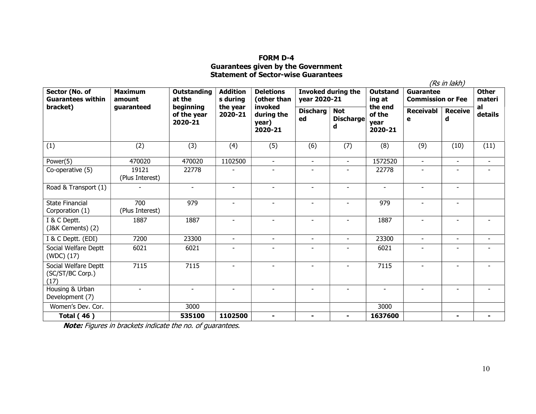## FORM D-4 Guarantees given by the Government Statement of Sector-wise Guarantees

|                                                  |                          |                                     |                             |                                           |                                           |                                     |                                      |                                       | (Rs in lakh)        |                        |  |
|--------------------------------------------------|--------------------------|-------------------------------------|-----------------------------|-------------------------------------------|-------------------------------------------|-------------------------------------|--------------------------------------|---------------------------------------|---------------------|------------------------|--|
| Sector (No. of<br><b>Guarantees within</b>       | <b>Maximum</b><br>amount | <b>Outstanding</b><br>at the        | <b>Addition</b><br>s during | <b>Deletions</b><br>(other than           | <b>Invoked during the</b><br>year 2020-21 |                                     | <b>Outstand</b><br>ing at            | Guarantee<br><b>Commission or Fee</b> |                     | <b>Other</b><br>materi |  |
| bracket)                                         | guaranteed               | beginning<br>of the year<br>2020-21 | the year<br>2020-21         | invoked<br>during the<br>year)<br>2020-21 | <b>Discharg</b><br>ed                     | <b>Not</b><br><b>Discharge</b><br>d | the end<br>of the<br>year<br>2020-21 | <b>Receivabl</b><br>e                 | <b>Receive</b><br>d | al<br>details          |  |
| (1)                                              | (2)                      | (3)                                 | (4)                         | (5)                                       | (6)                                       | (7)                                 | (8)                                  | (9)                                   | (10)                | (11)                   |  |
| Power(5)                                         | 470020                   | 470020                              | 1102500                     | $\sim$                                    | $\sim$                                    | $\sim$                              | 1572520                              | $\blacksquare$                        | $\sim$              | $\blacksquare$         |  |
| Co-operative (5)                                 | 19121<br>(Plus Interest) | 22778                               |                             | $\blacksquare$                            | $\blacksquare$                            | $\blacksquare$                      | 22778                                | $\overline{\phantom{a}}$              | $\blacksquare$      |                        |  |
| Road & Transport (1)                             |                          | $\blacksquare$                      | $\sim$                      |                                           |                                           | $\blacksquare$                      | $\sim$                               | $\blacksquare$                        | $\blacksquare$      |                        |  |
| <b>State Financial</b><br>Corporation (1)        | 700<br>(Plus Interest)   | 979                                 |                             | $\overline{\phantom{a}}$                  |                                           | $\blacksquare$                      | 979                                  | $\blacksquare$                        | $\blacksquare$      |                        |  |
| I & C Deptt.<br>(J&K Cements) (2)                | 1887                     | 1887                                | $\overline{a}$              | $\sim$                                    |                                           | $\overline{a}$                      | 1887                                 | $\blacksquare$                        |                     |                        |  |
| I & C Deptt. (EDI)                               | 7200                     | 23300                               | $\sim$                      | $\sim$                                    | $\sim$                                    | $\sim$                              | 23300                                | $\blacksquare$                        | $\blacksquare$      |                        |  |
| Social Welfare Deptt<br>(WDC) (17)               | 6021                     | 6021                                |                             | $\overline{\phantom{a}}$                  |                                           | $\blacksquare$                      | 6021                                 | $\qquad \qquad \blacksquare$          | $\overline{a}$      |                        |  |
| Social Welfare Deptt<br>(SC/ST/BC Corp.)<br>(17) | 7115                     | 7115                                |                             | $\overline{\phantom{a}}$                  |                                           | $\qquad \qquad \blacksquare$        | 7115                                 | $\qquad \qquad \blacksquare$          |                     |                        |  |
| Housing & Urban<br>Development (7)               |                          | $\blacksquare$                      | $\blacksquare$              | $\blacksquare$                            | $\sim$                                    | $\blacksquare$                      | $\sim$                               | $\blacksquare$                        | $\blacksquare$      |                        |  |
| Women's Dev. Cor.                                |                          | 3000                                |                             |                                           |                                           |                                     | 3000                                 |                                       |                     |                        |  |
| <b>Total (46)</b>                                |                          | 535100                              | 1102500                     | $\blacksquare$                            |                                           | $\blacksquare$                      | 1637600                              |                                       | $\blacksquare$      |                        |  |

Note: Figures in brackets indicate the no. of guarantees.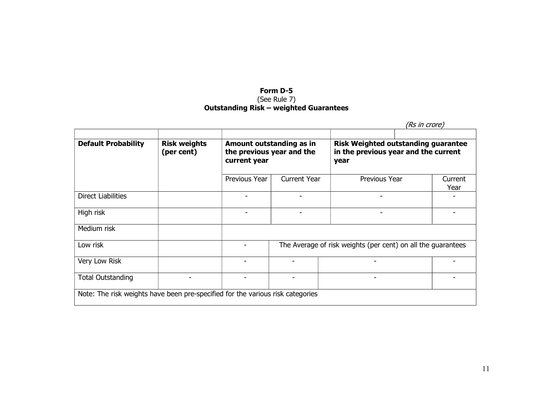## Form D-5 (See Rule 7) Outstanding Risk – weighted Guarantees

|                            |                                   |                                                                       |                     | (Rs in crore)                                                                              |                 |  |
|----------------------------|-----------------------------------|-----------------------------------------------------------------------|---------------------|--------------------------------------------------------------------------------------------|-----------------|--|
| <b>Default Probability</b> | <b>Risk weights</b><br>(per cent) | Amount outstanding as in<br>the previous year and the<br>current year |                     | <b>Risk Weighted outstanding guarantee</b><br>in the previous year and the current<br>year |                 |  |
|                            |                                   | Previous Year                                                         | <b>Current Year</b> | Previous Year                                                                              | Current<br>Year |  |
| Direct Liabilities         |                                   |                                                                       |                     |                                                                                            |                 |  |
| High risk                  |                                   |                                                                       |                     |                                                                                            |                 |  |
| Medium risk                |                                   |                                                                       |                     |                                                                                            |                 |  |
| Low risk                   |                                   |                                                                       |                     | The Average of risk weights (per cent) on all the guarantees                               |                 |  |
| Very Low Risk              |                                   |                                                                       |                     |                                                                                            |                 |  |
| <b>Total Outstanding</b>   |                                   |                                                                       |                     | $\overline{\phantom{0}}$                                                                   |                 |  |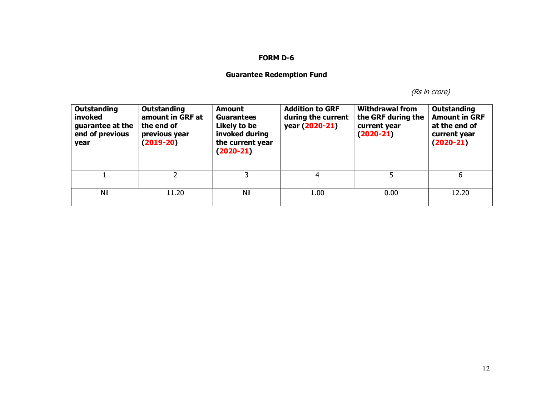## FORM D-6

# Guarantee Redemption Fund

(Rs in crore)

| <b>Outstanding</b><br>invoked<br>guarantee at the<br>end of previous<br>year | <b>Outstanding</b><br>amount in GRF at<br>the end of<br>previous year<br>$(2019-20)$ | <b>Amount</b><br><b>Guarantees</b><br>Likely to be<br>invoked during<br>the current year<br>$(2020-21)$ | <b>Addition to GRF</b><br>during the current<br>year (2020-21) | <b>Withdrawal from</b><br>the GRF during the<br>current year<br>$(2020-21)$ | <b>Outstanding</b><br><b>Amount in GRF</b><br>at the end of<br>current year<br>$(2020-21)$ |
|------------------------------------------------------------------------------|--------------------------------------------------------------------------------------|---------------------------------------------------------------------------------------------------------|----------------------------------------------------------------|-----------------------------------------------------------------------------|--------------------------------------------------------------------------------------------|
|                                                                              |                                                                                      | 3                                                                                                       | 4                                                              | 5                                                                           | 6                                                                                          |
| Nil                                                                          | 11.20                                                                                | Nil                                                                                                     | 1.00                                                           | 0.00                                                                        | 12.20                                                                                      |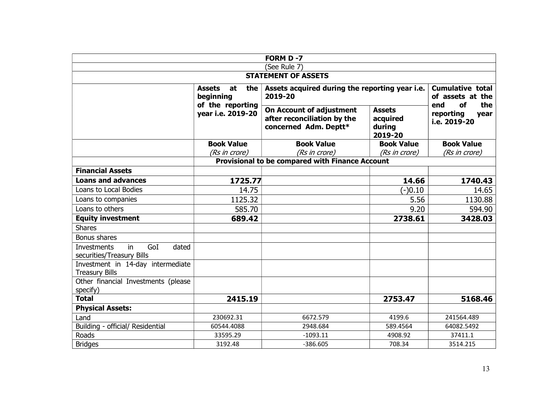| FORM D-7                                                              |                                                             |                                                                                         |                                                |                                                                                                      |  |  |  |  |  |
|-----------------------------------------------------------------------|-------------------------------------------------------------|-----------------------------------------------------------------------------------------|------------------------------------------------|------------------------------------------------------------------------------------------------------|--|--|--|--|--|
| (See Rule 7)                                                          |                                                             |                                                                                         |                                                |                                                                                                      |  |  |  |  |  |
| <b>STATEMENT OF ASSETS</b>                                            |                                                             |                                                                                         |                                                |                                                                                                      |  |  |  |  |  |
|                                                                       | <b>Assets</b><br>at<br>the<br>beginning<br>of the reporting | Assets acquired during the reporting year i.e.<br>2019-20                               |                                                | <b>Cumulative total</b><br>of assets at the<br>the<br>of<br>end<br>reporting<br>year<br>i.e. 2019-20 |  |  |  |  |  |
|                                                                       | year i.e. 2019-20                                           | <b>On Account of adjustment</b><br>after reconciliation by the<br>concerned Adm. Deptt* | <b>Assets</b><br>acquired<br>during<br>2019-20 |                                                                                                      |  |  |  |  |  |
|                                                                       | <b>Book Value</b>                                           | <b>Book Value</b>                                                                       | <b>Book Value</b>                              | <b>Book Value</b>                                                                                    |  |  |  |  |  |
|                                                                       | (Rs in crore)                                               | (Rs in crore)                                                                           | (Rs in crore)                                  | (Rs in crore)                                                                                        |  |  |  |  |  |
|                                                                       |                                                             | <b>Provisional to be compared with Finance Account</b>                                  |                                                |                                                                                                      |  |  |  |  |  |
| <b>Financial Assets</b>                                               |                                                             |                                                                                         |                                                |                                                                                                      |  |  |  |  |  |
| <b>Loans and advances</b>                                             | 1725.77                                                     |                                                                                         | 14.66                                          | 1740.43                                                                                              |  |  |  |  |  |
| Loans to Local Bodies                                                 | 14.75                                                       |                                                                                         | $(-)0.10$                                      | 14.65                                                                                                |  |  |  |  |  |
| Loans to companies                                                    | 1125.32                                                     |                                                                                         | 5.56                                           | 1130.88                                                                                              |  |  |  |  |  |
| Loans to others                                                       | 585.70                                                      |                                                                                         | 9.20                                           | 594.90                                                                                               |  |  |  |  |  |
| <b>Equity investment</b>                                              | 689.42                                                      |                                                                                         | 2738.61                                        | 3428.03                                                                                              |  |  |  |  |  |
| <b>Shares</b>                                                         |                                                             |                                                                                         |                                                |                                                                                                      |  |  |  |  |  |
| Bonus shares                                                          |                                                             |                                                                                         |                                                |                                                                                                      |  |  |  |  |  |
| GoI<br>dated<br>in<br><b>Investments</b><br>securities/Treasury Bills |                                                             |                                                                                         |                                                |                                                                                                      |  |  |  |  |  |
| Investment in 14-day intermediate<br><b>Treasury Bills</b>            |                                                             |                                                                                         |                                                |                                                                                                      |  |  |  |  |  |
| Other financial Investments (please                                   |                                                             |                                                                                         |                                                |                                                                                                      |  |  |  |  |  |
| specify)                                                              |                                                             |                                                                                         |                                                |                                                                                                      |  |  |  |  |  |
| <b>Total</b>                                                          | 2415.19                                                     |                                                                                         | 2753.47                                        | 5168.46                                                                                              |  |  |  |  |  |
| <b>Physical Assets:</b>                                               |                                                             |                                                                                         |                                                |                                                                                                      |  |  |  |  |  |
| Land                                                                  | 230692.31                                                   | 6672.579                                                                                | 4199.6                                         | 241564.489                                                                                           |  |  |  |  |  |
| Building - official/ Residential                                      | 60544.4088                                                  | 2948.684                                                                                | 589.4564                                       | 64082.5492                                                                                           |  |  |  |  |  |
| Roads                                                                 | 33595.29                                                    | $-1093.11$                                                                              | 4908.92                                        | 37411.1                                                                                              |  |  |  |  |  |
| <b>Bridges</b>                                                        | 3192.48                                                     | $-386.605$                                                                              | 708.34                                         | 3514.215                                                                                             |  |  |  |  |  |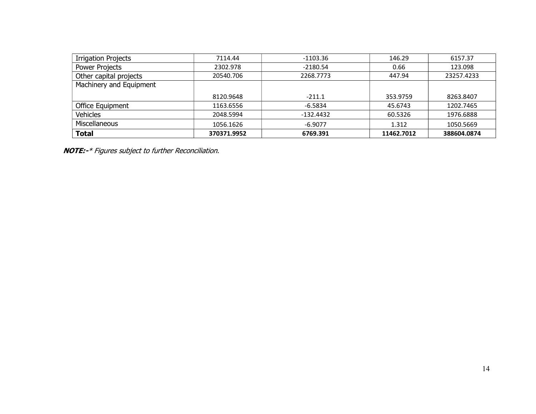| <b>Irrigation Projects</b> | 7114.44     | $-1103.36$  | 146.29     | 6157.37     |
|----------------------------|-------------|-------------|------------|-------------|
| Power Projects             | 2302.978    | $-2180.54$  | 0.66       | 123.098     |
| Other capital projects     | 20540.706   | 2268.7773   | 447.94     | 23257.4233  |
| Machinery and Equipment    |             |             |            |             |
|                            | 8120.9648   | $-211.1$    | 353.9759   | 8263.8407   |
| Office Equipment           | 1163.6556   | $-6.5834$   | 45.6743    | 1202.7465   |
| <b>Vehicles</b>            | 2048.5994   | $-132.4432$ | 60.5326    | 1976.6888   |
| Miscellaneous              | 1056.1626   | $-6.9077$   | 1.312      | 1050.5669   |
| <b>Total</b>               | 370371.9952 | 6769.391    | 11462.7012 | 388604.0874 |

NOTE:-\* Figures subject to further Reconciliation.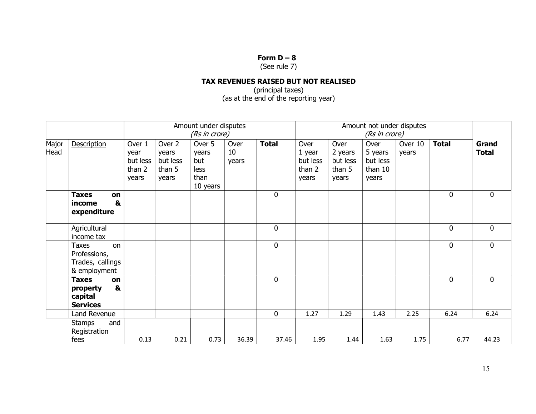## Form  $D - 8$

(See rule 7)

# TAX REVENUES RAISED BUT NOT REALISED

(principal taxes) (as at the end of the reporting year)

|               |                                                                        |                                               | Amount under disputes<br>(Rs in crore)         |                                                    |                     |              | Amount not under disputes<br>(Rs in crore)    |                                                |                                                 |                  |              |                       |
|---------------|------------------------------------------------------------------------|-----------------------------------------------|------------------------------------------------|----------------------------------------------------|---------------------|--------------|-----------------------------------------------|------------------------------------------------|-------------------------------------------------|------------------|--------------|-----------------------|
| Major<br>Head | Description                                                            | Over 1<br>year<br>but less<br>than 2<br>years | Over 2<br>years<br>but less<br>than 5<br>years | Over 5<br>years<br>but<br>less<br>than<br>10 years | Over<br>10<br>years | <b>Total</b> | Over<br>1 year<br>but less<br>than 2<br>years | Over<br>2 years<br>but less<br>than 5<br>years | Over<br>5 years<br>but less<br>than 10<br>years | Over 10<br>years | <b>Total</b> | Grand<br><b>Total</b> |
|               | <b>Taxes</b><br>on<br>&<br>income<br>expenditure                       |                                               |                                                |                                                    |                     | $\mathbf{0}$ |                                               |                                                |                                                 |                  | $\mathbf{0}$ | $\mathbf 0$           |
|               | Agricultural<br>income tax                                             |                                               |                                                |                                                    |                     | $\mathbf 0$  |                                               |                                                |                                                 |                  | $\mathbf 0$  | $\mathbf 0$           |
|               | <b>Taxes</b><br>on<br>Professions,<br>Trades, callings<br>& employment |                                               |                                                |                                                    |                     | $\mathbf 0$  |                                               |                                                |                                                 |                  | $\mathbf{0}$ | $\mathbf 0$           |
|               | <b>Taxes</b><br>on<br>&<br>property<br>capital<br><b>Services</b>      |                                               |                                                |                                                    |                     | $\mathbf 0$  |                                               |                                                |                                                 |                  | $\mathbf 0$  | $\mathbf 0$           |
|               | Land Revenue                                                           |                                               |                                                |                                                    |                     | $\mathbf 0$  | 1.27                                          | 1.29                                           | 1.43                                            | 2.25             | 6.24         | 6.24                  |
|               | and<br><b>Stamps</b><br>Registration<br>fees                           | 0.13                                          | 0.21                                           | 0.73                                               | 36.39               | 37.46        | 1.95                                          | 1.44                                           | 1.63                                            | 1.75             | 6.77         | 44.23                 |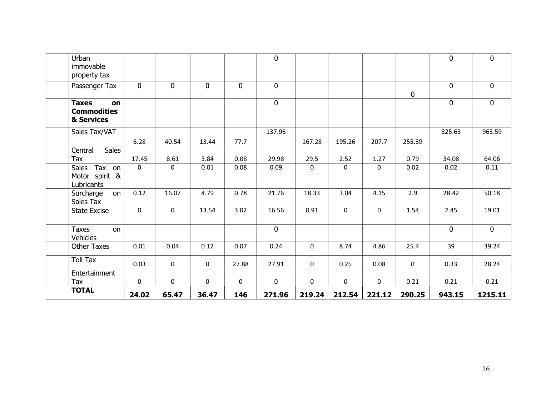| Urban<br>immovable                                     |             |             |             |             | $\overline{0}$ |             |              |             |             | $\mathbf 0$ | $\mathbf 0$ |
|--------------------------------------------------------|-------------|-------------|-------------|-------------|----------------|-------------|--------------|-------------|-------------|-------------|-------------|
| property tax<br>Passenger Tax                          | $\mathbf 0$ | $\mathbf 0$ | $\mathbf 0$ | $\mathbf 0$ | $\mathbf{0}$   |             |              |             | $\mathbf 0$ | $\mathbf 0$ | $\mathbf 0$ |
| <b>Taxes</b><br>on<br><b>Commodities</b><br>& Services |             |             |             |             | $\mathbf 0$    |             |              |             |             | $\mathbf 0$ | $\mathbf 0$ |
| Sales Tax/VAT                                          | 6.28        | 40.54       | 13.44       | 77.7        | 137.96         | 167.28      | 195.26       | 207.7       | 255.39      | 825.63      | 963.59      |
| Sales<br>Central                                       |             |             |             |             |                |             |              |             |             |             |             |
| Tax                                                    | 17.45       | 8.61        | 3.84        | 0.08        | 29.98          | 29.5        | 2.52         | 1.27        | 0.79        | 34.08       | 64.06       |
| Tax<br>Sales<br>on<br>Motor spirit &<br>Lubricants     | 0           | $\Omega$    | 0.01        | 0.08        | 0.09           | $\mathbf 0$ | $\mathbf{0}$ | $\mathsf 0$ | 0.02        | 0.02        | 0.11        |
| Surcharge<br>on<br>Sales Tax                           | 0.12        | 16.07       | 4.79        | 0.78        | 21.76          | 18.33       | 3.04         | 4.15        | 2.9         | 28.42       | 50.18       |
| <b>State Excise</b>                                    | $\mathbf 0$ | 0           | 13.54       | 3.02        | 16.56          | 0.91        | $\mathbf 0$  | $\mathbf 0$ | 1.54        | 2.45        | 19.01       |
| <b>Taxes</b><br>on<br>Vehicles                         |             |             |             |             | $\mathbf 0$    |             |              |             |             | $\mathbf 0$ | $\mathbf 0$ |
| <b>Other Taxes</b>                                     | 0.01        | 0.04        | 0.12        | 0.07        | 0.24           | $\mathbf 0$ | 8.74         | 4.86        | 25.4        | 39          | 39.24       |
| <b>Toll Tax</b>                                        | 0.03        | $\mathsf 0$ | $\mathbf 0$ | 27.88       | 27.91          | $\mathsf 0$ | 0.25         | 0.08        | $\mathsf 0$ | 0.33        | 28.24       |
| Entertainment<br>Tax                                   | 0           | 0           | $\mathbf 0$ | 0           | 0              | $\mathbf 0$ | 0            | $\mathsf 0$ | 0.21        | 0.21        | 0.21        |
| <b>TOTAL</b>                                           | 24.02       | 65.47       | 36.47       | 146         | 271.96         | 219.24      | 212.54       | 221.12      | 290.25      | 943.15      | 1215.11     |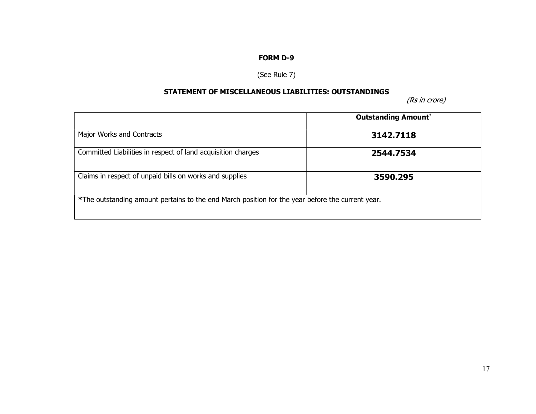# FORM D-9

# (See Rule 7)

## STATEMENT OF MISCELLANEOUS LIABILITIES: OUTSTANDINGS

(Rs in crore)

|                                                                                                  | <b>Outstanding Amount*</b> |
|--------------------------------------------------------------------------------------------------|----------------------------|
| Major Works and Contracts                                                                        | 3142.7118                  |
| Committed Liabilities in respect of land acquisition charges                                     | 2544.7534                  |
| Claims in respect of unpaid bills on works and supplies                                          | 3590.295                   |
| *The outstanding amount pertains to the end March position for the year before the current year. |                            |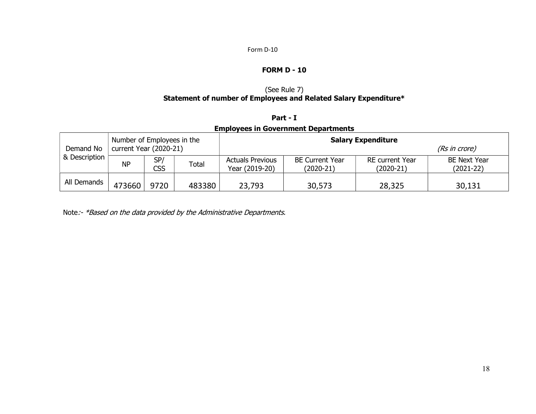#### Form D-10

### FORM D - 10

## (See Rule 7) Statement of number of Employees and Related Salary Expenditure\*

## Part - I

# Employees in Government Departments

| Demand No     | Number of Employees in the<br>current Year (2020-21) |            |        | <b>Salary Expenditure</b><br>(Rs in crore) |                                     |                                |                                  |  |  |
|---------------|------------------------------------------------------|------------|--------|--------------------------------------------|-------------------------------------|--------------------------------|----------------------------------|--|--|
| & Description | <b>NP</b>                                            | SP/<br>CSS | Total  | <b>Actuals Previous</b><br>Year (2019-20)  | <b>BE Current Year</b><br>(2020-21) | RE current Year<br>$(2020-21)$ | <b>BE Next Year</b><br>(2021-22) |  |  |
| All Demands   | 473660                                               | 9720       | 483380 | 23,793                                     | 30,573                              | 28,325                         | 30,131                           |  |  |

Note:- \*Based on the data provided by the Administrative Departments.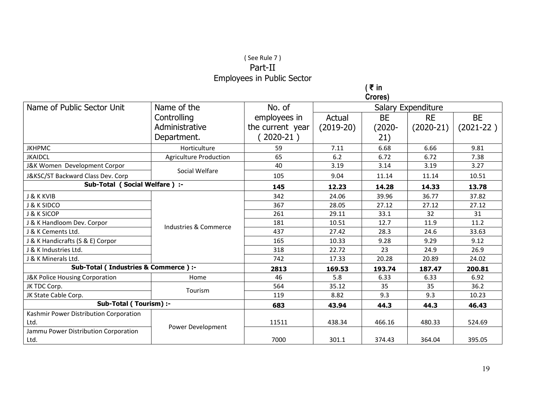# ( See Rule 7 ) Part-II Employees in Public Sector

( ₹ in

|                                        |                               |                  |             | Crores)   |                    |             |
|----------------------------------------|-------------------------------|------------------|-------------|-----------|--------------------|-------------|
| Name of Public Sector Unit             | Name of the                   | No. of           |             |           | Salary Expenditure |             |
|                                        | Controlling                   | employees in     | Actual      | <b>BE</b> | <b>RE</b>          | <b>BE</b>   |
|                                        | Administrative                | the current year | $(2019-20)$ | $(2020 -$ | $(2020-21)$        | $(2021-22)$ |
|                                        | Department.                   | $2020-21)$       |             | 21)       |                    |             |
| <b>JKHPMC</b>                          | Horticulture                  | 59               | 7.11        | 6.68      | 6.66               | 9.81        |
| <b>JKAIDCL</b>                         | <b>Agriculture Production</b> | 65               | 6.2         | 6.72      | 6.72               | 7.38        |
| J&K Women Development Corpor           |                               | 40               | 3.19        | 3.14      | 3.19               | 3.27        |
| J&KSC/ST Backward Class Dev. Corp      | Social Welfare                | 105              | 9.04        | 11.14     | 11.14              | 10.51       |
| Sub-Total (Social Welfare) :-          | 145                           | 12.23            | 14.28       | 14.33     | 13.78              |             |
| <b>J &amp; K KVIB</b>                  |                               | 342              | 24.06       | 39.96     | 36.77              | 37.82       |
| <b>J &amp; K SIDCO</b>                 |                               | 367              | 28.05       | 27.12     | 27.12              | 27.12       |
| <b>J &amp; K SICOP</b>                 |                               | 261              | 29.11       | 33.1      | 32                 | 31          |
| J & K Handloom Dev. Corpor             | Industries & Commerce         | 181              | 10.51       | 12.7      | 11.9               | 11.2        |
| J & K Cements Ltd.                     |                               | 437              | 27.42       | 28.3      | 24.6               | 33.63       |
| J & K Handicrafts (S & E) Corpor       |                               | 165              | 10.33       | 9.28      | 9.29               | 9.12        |
| J & K Industries Ltd.                  |                               | 318              | 22.72       | 23        | 24.9               | 26.9        |
| J & K Minerals Ltd.                    |                               | 742              | 17.33       | 20.28     | 20.89              | 24.02       |
| Sub-Total (Industries & Commerce) :-   |                               | 2813             | 169.53      | 193.74    | 187.47             | 200.81      |
| J&K Police Housing Corporation         | Home                          | 46               | 5.8         | 6.33      | 6.33               | 6.92        |
| JK TDC Corp.                           | Tourism                       | 564              | 35.12       | 35        | 35                 | 36.2        |
| JK State Cable Corp.                   |                               | 119              | 8.82        | 9.3       | 9.3                | 10.23       |
| Sub-Total (Tourism) :-                 | 683                           | 43.94            | 44.3        | 44.3      | 46.43              |             |
| Kashmir Power Distribution Corporation |                               |                  |             |           |                    |             |
| Ltd.                                   | Power Development             | 11511            | 438.34      | 466.16    | 480.33             | 524.69      |
| Jammu Power Distribution Corporation   |                               |                  |             |           |                    |             |
| Ltd.                                   |                               | 7000             | 301.1       | 374.43    | 364.04             | 395.05      |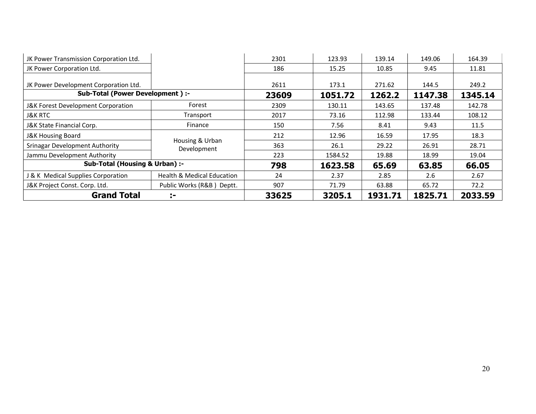| JK Power Transmission Corporation Ltd. |                                       | 2301   | 123.93  | 139.14  | 149.06  | 164.39  |
|----------------------------------------|---------------------------------------|--------|---------|---------|---------|---------|
| JK Power Corporation Ltd.              |                                       | 186    | 15.25   | 10.85   | 9.45    | 11.81   |
|                                        |                                       |        |         |         |         |         |
| JK Power Development Corporation Ltd.  |                                       | 2611   | 173.1   | 271.62  | 144.5   | 249.2   |
| Sub-Total (Power Development) :-       |                                       | 23609  | 1051.72 | 1262.2  | 1147.38 | 1345.14 |
| J&K Forest Development Corporation     | Forest                                | 2309   | 130.11  | 143.65  | 137.48  | 142.78  |
| <b>J&amp;K RTC</b>                     | Transport                             | 2017   | 73.16   | 112.98  | 133.44  | 108.12  |
| J&K State Financial Corp.              | Finance                               | 150    | 7.56    | 8.41    | 9.43    | 11.5    |
| <b>J&amp;K Housing Board</b>           | Housing & Urban                       | 212    | 12.96   | 16.59   | 17.95   | 18.3    |
| <b>Srinagar Development Authority</b>  | Development                           | 363    | 26.1    | 29.22   | 26.91   | 28.71   |
| Jammu Development Authority            |                                       | 223    | 1584.52 | 19.88   | 18.99   | 19.04   |
| Sub-Total (Housing & Urban) :-         |                                       | 798    | 1623.58 | 65.69   | 63.85   | 66.05   |
| J & K Medical Supplies Corporation     | <b>Health &amp; Medical Education</b> | 24     | 2.37    | 2.85    | 2.6     | 2.67    |
| J&K Project Const. Corp. Ltd.          | Public Works (R&B) Deptt.             | 907    | 71.79   | 63.88   | 65.72   | 72.2    |
| <b>Grand Total</b>                     | 33625                                 | 3205.1 | 1931.71 | 1825.71 | 2033.59 |         |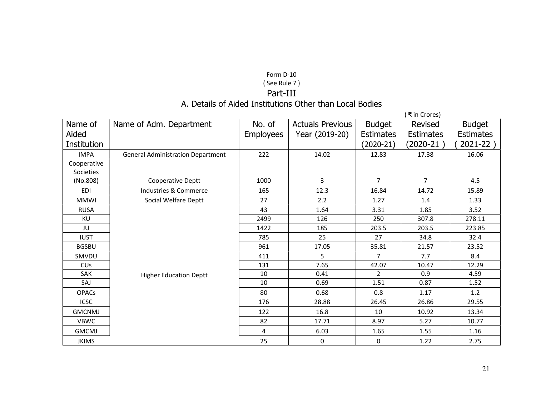# Form D-10 ( See Rule 7 ) Part-III

# A. Details of Aided Institutions Other than Local Bodies

|                       |                                          |                  |                         |                  | ₹in Crores)      |                  |
|-----------------------|------------------------------------------|------------------|-------------------------|------------------|------------------|------------------|
| Name of               | Name of Adm. Department                  | No. of           | <b>Actuals Previous</b> | <b>Budget</b>    | Revised          | <b>Budget</b>    |
| Aided                 |                                          | <b>Employees</b> | Year (2019-20)          | <b>Estimates</b> | <b>Estimates</b> | <b>Estimates</b> |
| Institution           |                                          |                  |                         | $(2020-21)$      | $(2020-21)$      | 2021-22)         |
| <b>IMPA</b>           | <b>General Administration Department</b> | 222              | 14.02                   | 12.83            | 17.38            | 16.06            |
| Cooperative           |                                          |                  |                         |                  |                  |                  |
| Societies             |                                          |                  |                         |                  |                  |                  |
| (No.808)              | Cooperative Deptt                        | 1000             | 3                       | $\overline{7}$   | $\overline{7}$   | 4.5              |
| <b>EDI</b>            | Industries & Commerce                    | 165              | 12.3                    | 16.84            | 14.72            | 15.89            |
| <b>MMWI</b>           | Social Welfare Deptt                     | 27               | 2.2                     | 1.27             | 1.4              | 1.33             |
| <b>RUSA</b>           |                                          | 43               | 1.64                    | 3.31             | 1.85             | 3.52             |
| KU                    |                                          | 2499             | 126                     | 250              | 307.8            | 278.11           |
| JU                    |                                          | 1422             | 185                     | 203.5            | 203.5            | 223.85           |
| <b>IUST</b>           |                                          | 785              | 25                      | 27               | 34.8             | 32.4             |
| <b>BGSBU</b>          |                                          | 961              | 17.05                   | 35.81            | 21.57            | 23.52            |
| SMVDU                 |                                          | 411              | 5                       | $\overline{7}$   | 7.7              | 8.4              |
| <b>CU<sub>s</sub></b> |                                          | 131              | 7.65                    | 42.07            | 10.47            | 12.29            |
| SAK                   | <b>Higher Education Deptt</b>            | 10               | 0.41                    | $\overline{2}$   | 0.9              | 4.59             |
| SAJ                   |                                          | 10               | 0.69                    | 1.51             | 0.87             | 1.52             |
| <b>OPACs</b>          |                                          | 80               | 0.68                    | 0.8              | 1.17             | 1.2              |
| <b>ICSC</b>           |                                          | 176              | 28.88                   | 26.45            | 26.86            | 29.55            |
| <b>GMCNMJ</b>         |                                          | 122              | 16.8                    | 10               | 10.92            | 13.34            |
| <b>VBWC</b>           |                                          | 82               | 17.71                   | 8.97             | 5.27             | 10.77            |
| <b>GMCMJ</b>          |                                          | 4                | 6.03                    | 1.65             | 1.55             | 1.16             |
| <b>JKIMS</b>          |                                          | 25               | 0                       | 0                | 1.22             | 2.75             |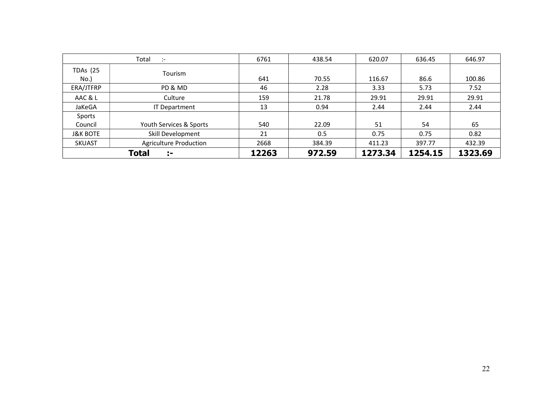|                         | Total<br>$\mathcal{L}$        | 6761  | 438.54 | 620.07  | 636.45  | 646.97  |
|-------------------------|-------------------------------|-------|--------|---------|---------|---------|
| <b>TDAs (25</b><br>No.) | Tourism                       | 641   | 70.55  | 116.67  | 86.6    | 100.86  |
| ERA/JTFRP               | PD & MD                       | 46    | 2.28   | 3.33    | 5.73    | 7.52    |
| AAC & L                 | Culture                       | 159   | 21.78  | 29.91   | 29.91   | 29.91   |
| JaKeGA                  | <b>IT Department</b>          | 13    | 0.94   | 2.44    | 2.44    | 2.44    |
| Sports                  |                               |       |        |         |         |         |
| Council                 | Youth Services & Sports       | 540   | 22.09  | 51      | 54      | 65      |
| <b>J&amp;K BOTE</b>     | Skill Development             | 21    | 0.5    | 0.75    | 0.75    | 0.82    |
| <b>SKUAST</b>           | <b>Agriculture Production</b> | 2668  | 384.39 | 411.23  | 397.77  | 432.39  |
|                         | Total<br>÷.                   | 12263 | 972.59 | 1273.34 | 1254.15 | 1323.69 |